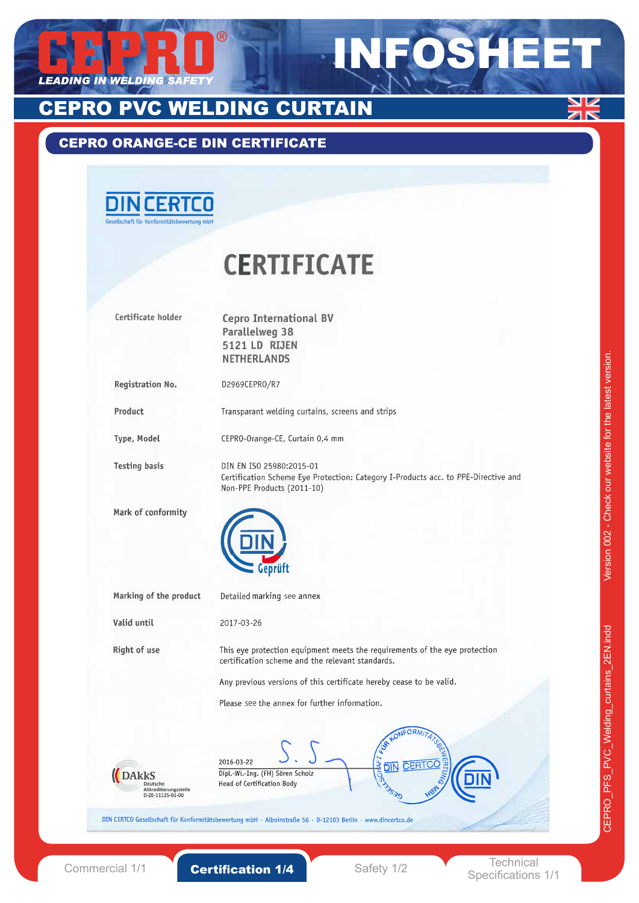

## CEPRO ORANGE-CE DIN CERTIFICATE



# **CERTIFICATE**

| Certificate holder                                                    | <b>Cepro International BV</b>                                                                                    |
|-----------------------------------------------------------------------|------------------------------------------------------------------------------------------------------------------|
|                                                                       | <b>Parallelweg 38</b>                                                                                            |
|                                                                       | 5121 LD RIJEN                                                                                                    |
|                                                                       | <b>NETHERLANDS</b>                                                                                               |
| Registration No.                                                      | D2969CEPRO/R7                                                                                                    |
| Product                                                               | Transparant welding curtains, screens and strips                                                                 |
| Type, Model                                                           | CEPRO-Orange-CE, Curtain 0,4 mm                                                                                  |
| <b>Testing basis</b>                                                  | DIN EN ISO 25980:2015-01                                                                                         |
|                                                                       | Certification Scheme Eye Protection: Category I-Products acc. to PPE-Directive and<br>Non-PPE Products (2011-10) |
| Mark of conformity                                                    |                                                                                                                  |
|                                                                       |                                                                                                                  |
| Marking of the product                                                | Detailed marking see annex                                                                                       |
| Valid until                                                           | 2017-03-26                                                                                                       |
| Right of use                                                          | This eye protection equipment meets the requirements of the eye protection                                       |
|                                                                       | certification scheme and the relevant standards.                                                                 |
|                                                                       | Any previous versions of this certificate hereby cease to be valid.                                              |
|                                                                       | Please see the annex for further information.                                                                    |
|                                                                       |                                                                                                                  |
|                                                                       | 2016-03-22                                                                                                       |
| <b>DARKS</b><br>Deutsche<br>Akkreditierungsstelle<br>D-ZE-11125-01-00 | Dipl.-Wi.-Ing. (FH) Sören Scholz<br><b>155450</b><br>DIN<br>HSM ON<br>Head of Certification Body                 |
|                                                                       | DIN CERTCO Gesellschaft für Konformitätsbewertung mbH · Alboinstraße 56 · D-12103 Berlin · www.dincertco.de      |

Specifications 1/1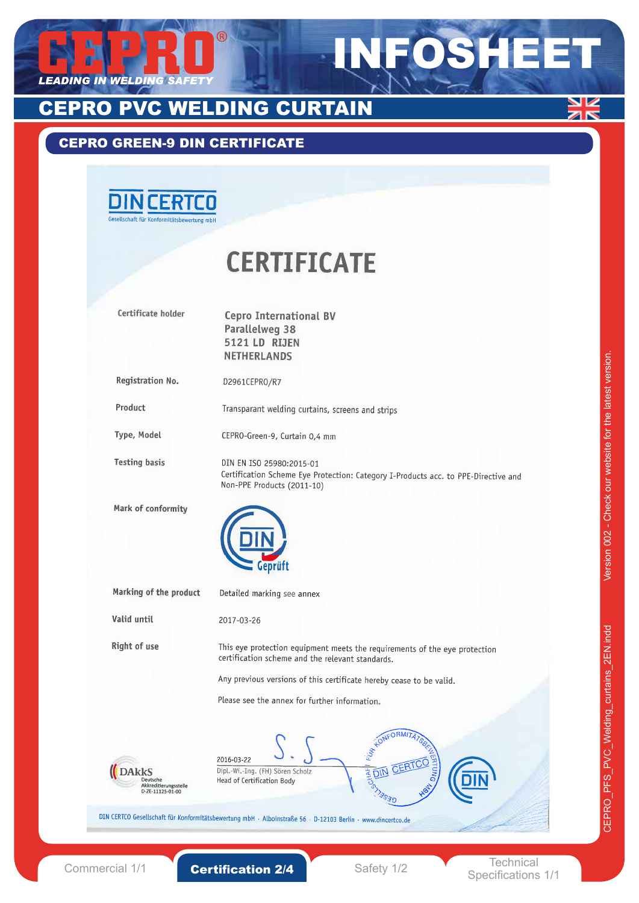

## CEPRO GREEN-9 DIN CERTIFICATE

| <b>DINCERTCO</b><br>Gesellschaft für Konformitätsbewertung mbH |                                                                                                                                              |
|----------------------------------------------------------------|----------------------------------------------------------------------------------------------------------------------------------------------|
|                                                                | <b>CERTIFICATE</b>                                                                                                                           |
| Certificate holder                                             | <b>Cepro International BV</b><br><b>Parallelweg 38</b><br>5121 LD RIJEN<br><b>NETHERLANDS</b>                                                |
| Registration No.                                               | D2961CEPRO/R7                                                                                                                                |
| Product                                                        | Transparant welding curtains, screens and strips                                                                                             |
| Type, Model                                                    | CEPRO-Green-9, Curtain 0,4 mm                                                                                                                |
| <b>Testing basis</b>                                           | DIN EN ISO 25980:2015-01<br>Certification Scheme Eye Protection: Category I-Products acc. to PPE-Directive and<br>Non-PPE Products (2011-10) |
| Mark of conformity                                             |                                                                                                                                              |
| Marking of the product                                         | Detailed marking see annex                                                                                                                   |
| Valid until                                                    | 2017-03-26                                                                                                                                   |
| Right of use                                                   | This eye protection equipment meets the requirements of the eye protection<br>certification scheme and the relevant standards.               |
|                                                                | Any previous versions of this certificate hereby cease to be valid.                                                                          |
|                                                                | Please see the annex for further information.                                                                                                |
|                                                                | 2016-03-22                                                                                                                                   |
| DAkks<br>Deutsche<br>Akkreditierungsstelle<br>D-ZE-11125-01-00 | <b>EDIN CERT</b><br>Dipl.-Wi.-Ing. (FH) Sören Scholz<br>Head of Certification Body                                                           |

V Øß

 $\overline{1}$ 

Commercial 1/1 **Certification 2/4** Safety 1/2 **Safety 1/2** Technical

Specifications 1/1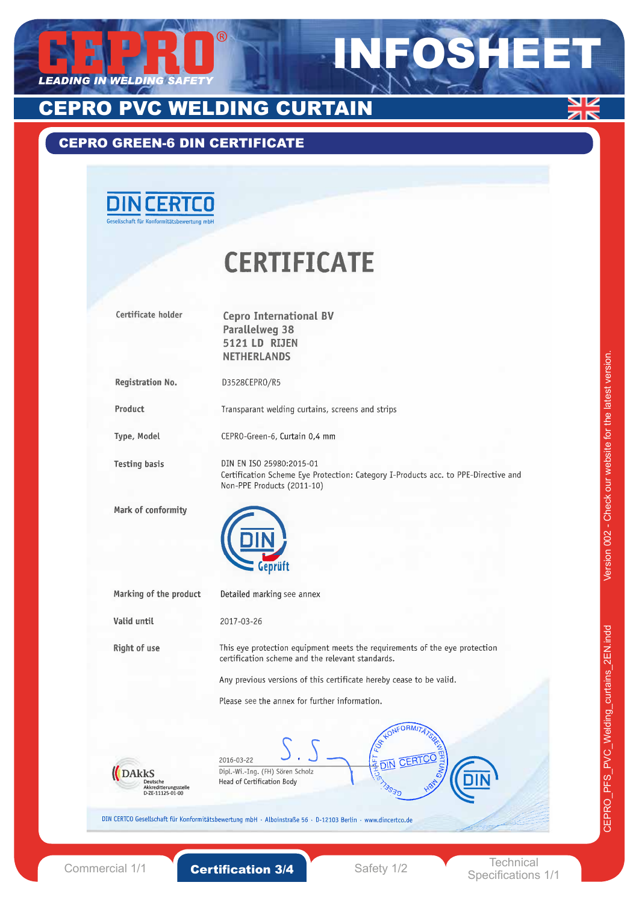

## CEPRO GREEN-6 DIN CERTIFICATE



# **CERTIFICATE**

| Certificate holder                        | <b>Cepro International BV</b>                                                                                                  |
|-------------------------------------------|--------------------------------------------------------------------------------------------------------------------------------|
|                                           | <b>Parallelweg 38</b>                                                                                                          |
|                                           | 5121 LD RIJEN                                                                                                                  |
|                                           | <b>NETHERLANDS</b>                                                                                                             |
|                                           |                                                                                                                                |
| Registration No.                          | D3528CEPRO/R5                                                                                                                  |
|                                           |                                                                                                                                |
| Product                                   | Transparant welding curtains, screens and strips                                                                               |
| Type, Model                               | CEPRO-Green-6, Curtain 0,4 mm                                                                                                  |
| <b>Testing basis</b>                      | DIN EN ISO 25980:2015-01                                                                                                       |
|                                           | Certification Scheme Eye Protection: Category I-Products acc. to PPE-Directive and                                             |
|                                           | Non-PPE Products (2011-10)                                                                                                     |
| Mark of conformity                        |                                                                                                                                |
|                                           |                                                                                                                                |
|                                           |                                                                                                                                |
|                                           |                                                                                                                                |
|                                           | eprüft                                                                                                                         |
| Marking of the product                    | Detailed marking see annex                                                                                                     |
| Valid until                               | 2017-03-26                                                                                                                     |
|                                           |                                                                                                                                |
| Right of use                              | This eye protection equipment meets the requirements of the eye protection<br>certification scheme and the relevant standards. |
|                                           |                                                                                                                                |
|                                           | Any previous versions of this certificate hereby cease to be valid.                                                            |
|                                           | Please see the annex for further information.                                                                                  |
|                                           |                                                                                                                                |
|                                           |                                                                                                                                |
|                                           |                                                                                                                                |
|                                           | <b>AFT FT</b><br>2016-03-22<br>DIN                                                                                             |
| <b>DAKKS</b><br>Deutsche                  | Dipl.-Wi.-Ing. (FH) Sören Scholz<br>Head of Certification Body                                                                 |
| Akkreditierungsstelle<br>D-ZE-11125-01-00 | 3030                                                                                                                           |
|                                           |                                                                                                                                |
|                                           | VIN CERTCO Gesellschaft für Konformitätsbewertung mbH · Alboinstraße 56 · D-12103 Berlin · www.dincertco.de                    |
|                                           |                                                                                                                                |
|                                           |                                                                                                                                |
|                                           | Technical                                                                                                                      |

Commercial  $1/1$  **Certification 3/4** Safety  $1/2$ 

Specifications 1/1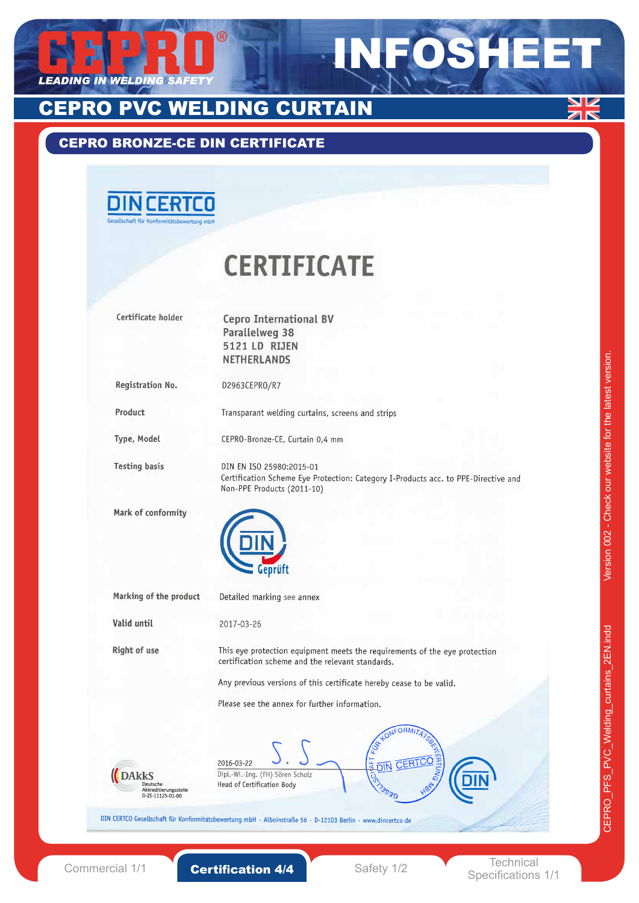

## CEPRO BRONZE-CE DIN CERTIFICATE



# **CERTIFICATE**

| Certificate holder                                              | <b>Cepro International BV</b><br><b>Parallelweg 38</b><br>5121 LD RIJEN<br><b>NETHERLANDS</b>                                                                                                                         |
|-----------------------------------------------------------------|-----------------------------------------------------------------------------------------------------------------------------------------------------------------------------------------------------------------------|
| Registration No.                                                | D2963CEPRO/R7                                                                                                                                                                                                         |
| Product                                                         | Transparant welding curtains, screens and strips                                                                                                                                                                      |
| Type, Model                                                     | CEPRO-Bronze-CE, Curtain 0,4 mm                                                                                                                                                                                       |
| <b>Testing basis</b>                                            | DIN EN ISO 25980:2015-01<br>Certification Scheme Eye Protection: Category I-Products acc. to PPE-Directive and<br>Non-PPE Products (2011-10)                                                                          |
| Mark of conformity                                              |                                                                                                                                                                                                                       |
| Marking of the product                                          | Detailed marking see annex                                                                                                                                                                                            |
| Valid until                                                     | 2017-03-26                                                                                                                                                                                                            |
| Right of use                                                    | This eye protection equipment meets the requirements of the eye protection<br>certification scheme and the relevant standards.<br>Any previous versions of this certificate hereby cease to be valid.                 |
|                                                                 | Please see the annex for further information.                                                                                                                                                                         |
| (DAKKS<br>Deutsche<br>Akkreditierungsstelle<br>D-ZE-11125-01-00 | 2016-03-22<br>Dipl.-Wi.-Ing. (FH) Sören Scholz<br><b>ISON</b><br>O<br>٦O<br>Head of Certification Body<br>JIN CERTCO Gesellschaft für Konformitatsbewertung mbH · Alboinstraße 56 · D-12103 Berlin · www.dincertco.de |
|                                                                 | Technical                                                                                                                                                                                                             |

Commercial 1/1 **Certification 4/4** Safety 1/2

Specifications 1/1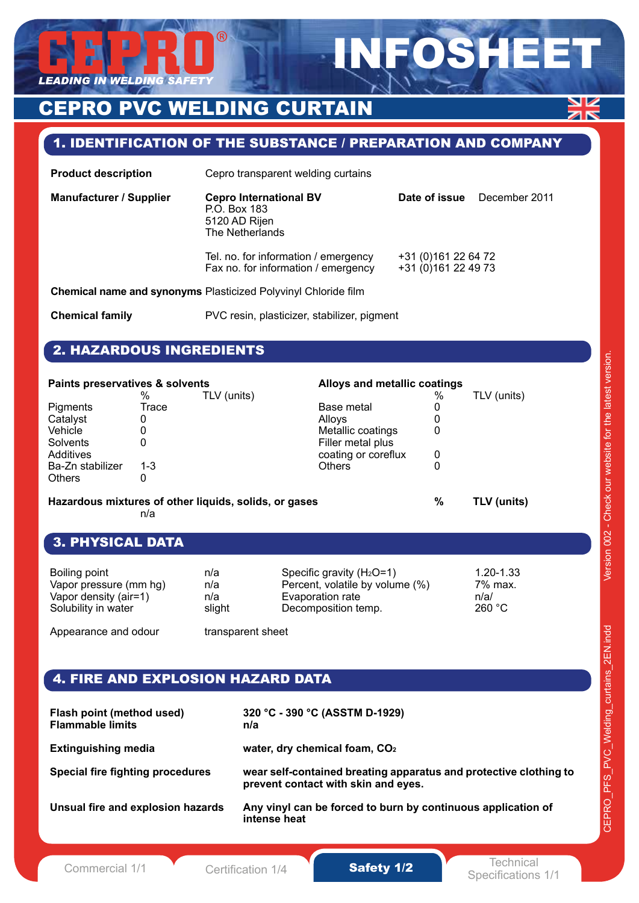

## 1. IDENTIFICATION OF THE SUBSTANCE / PREPARATION AND COMPANY

INFOSHEET

| <b>Product description</b>                                     | Cepro transparent welding curtains                                                |                                             |               |
|----------------------------------------------------------------|-----------------------------------------------------------------------------------|---------------------------------------------|---------------|
| <b>Manufacturer / Supplier</b>                                 | <b>Cepro International BV</b><br>P.O. Box 183<br>5120 AD Rijen<br>The Netherlands | Date of issue                               | December 2011 |
|                                                                | Tel. no. for information / emergency<br>Fax no. for information / emergency       | +31 (0)161 22 64 72<br>+31 (0) 161 22 49 73 |               |
| Chemical name and synonyms Plasticized Polyvinyl Chloride film |                                                                                   |                                             |               |
| <b>Chemical family</b>                                         | PVC resin, plasticizer, stabilizer, pigment                                       |                                             |               |

## 2. HAZARDOUS INGREDIENTS

| Paints preservatives & solvents |         |                                                       | Alloys and metallic coatings |      |             |
|---------------------------------|---------|-------------------------------------------------------|------------------------------|------|-------------|
|                                 | $\%$    | TLV (units)                                           |                              | $\%$ | TLV (units) |
| Pigments                        | Trace   |                                                       | Base metal                   | Ü    |             |
| Catalyst                        | 0       |                                                       | Allovs                       |      |             |
| Vehicle                         | 0       |                                                       | Metallic coatings            | 0    |             |
| Solvents                        | 0       |                                                       | Filler metal plus            |      |             |
| Additives                       |         |                                                       | coating or coreflux          | 0    |             |
| Ba-Zn stabilizer                | $1 - 3$ |                                                       | <b>Others</b>                |      |             |
| <b>Others</b>                   | 0       |                                                       |                              |      |             |
|                                 |         | Hazardous mixtures of other liquids, solids, or gases |                              | %    | TLV (units) |

n/a

## 3. PHYSICAL DATA

| Boiling point          | n/a    | Specific gravity $(H_2O=1)$     | $1.20 - 1.33$ |
|------------------------|--------|---------------------------------|---------------|
| Vapor pressure (mm hg) | n/a    | Percent, volatile by volume (%) | 7% max.       |
| Vapor density (air=1)  | n/a    | Evaporation rate                | n/a/          |
| Solubility in water    | slight | Decomposition temp.             | 260 °C        |

Appearance and odour transparent sheet

## 4. FIRE AND EXPLOSION HAZARD DATA

| Flash point (method used)<br><b>Flammable limits</b> | 320 °C - 390 °C (ASSTM D-1929)<br>n/a                                                                    |
|------------------------------------------------------|----------------------------------------------------------------------------------------------------------|
| <b>Extinguishing media</b>                           | water, dry chemical foam, CO <sub>2</sub>                                                                |
| Special fire fighting procedures                     | wear self-contained breating apparatus and protective clothing to<br>prevent contact with skin and eyes. |
| Unsual fire and explosion hazards                    | Any vinyl can be forced to burn by continuous application of<br>intense heat                             |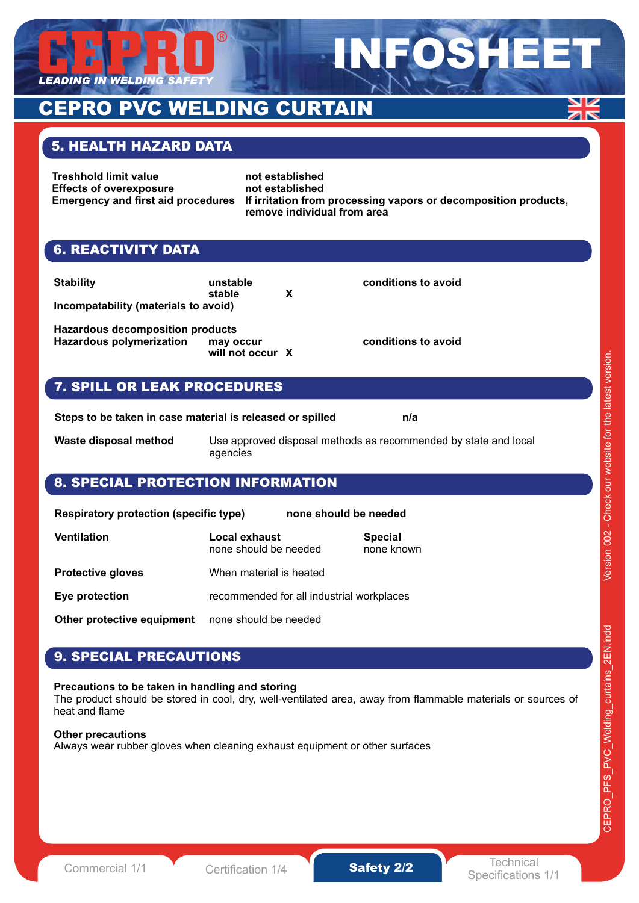

## **ELDING CURTAIN**

## 5. HEALTH HAZARD DATA

**Treshhold limit value example in the not established<br>
Effects of overexposure example in the established Effects of overexposure** 

**Emergency and first aid procedures If irritation from processing vapors or decomposition products, remove individual from area**

INFOSHEET

## 6. REACTIVITY DATA

| <b>Stability</b>                     | unstable |   |
|--------------------------------------|----------|---|
|                                      | stable   | X |
| Incompatability (materials to avoid) |          |   |

**Hazardous decomposition products Hazardous polymerization may occur** conditions to avoid **will not occur X**

**conditions to avoid** 

## 7. SPILL OR LEAK PROCEDURES

**Steps to be taken in case material is released or spilled has a state in the n/a** 

**Waste disposal method** Use approved disposal methods as recommended by state and local agencies

## 8. SPECIAL PROTECTION INFORMATION

| <b>Respiratory protection (specific type)</b> |                                           | none should be needed |                              |
|-----------------------------------------------|-------------------------------------------|-----------------------|------------------------------|
| Ventilation                                   | Local exhaust<br>none should be needed    |                       | <b>Special</b><br>none known |
| <b>Protective gloves</b>                      | When material is heated                   |                       |                              |
| Eye protection                                | recommended for all industrial workplaces |                       |                              |
| Other protective equipment                    | none should be needed                     |                       |                              |

## 9. SPECIAL PRECAUTIONS

#### **Precautions to be taken in handling and storing**

The product should be stored in cool, dry, well-ventilated area, away from flammable materials or sources of heat and flame

#### **Other precautions**

Always wear rubber gloves when cleaning exhaust equipment or other surfaces